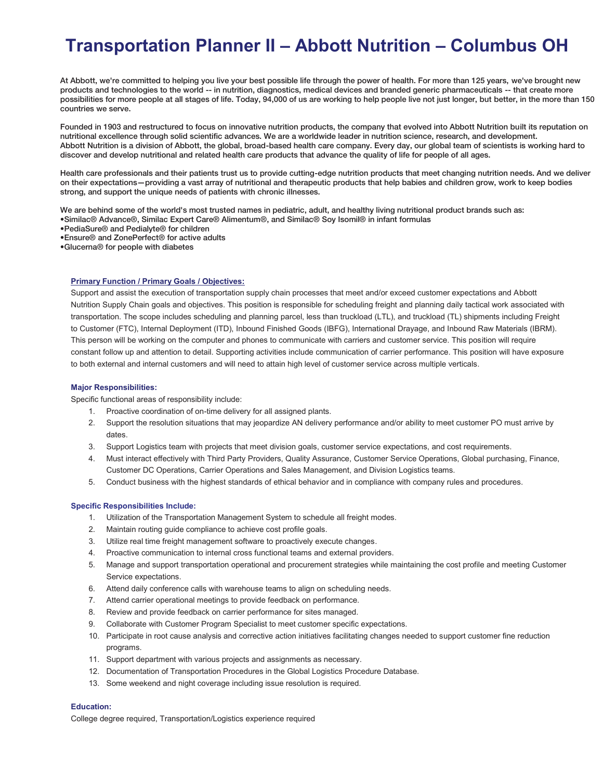# **Transportation Planner II – Abbott Nutrition – Columbus OH**

At Abbott, we're committed to helping you live your best possible life through the power of health. For more than 125 years, we've brought new products and technologies to the world -- in nutrition, diagnostics, medical devices and branded generic pharmaceuticals -- that create more possibilities for more people at all stages of life. Today, 94,000 of us are working to help people live not just longer, but better, in the more than 150 countries we serve.

Founded in 1903 and restructured to focus on innovative nutrition products, the company that evolved into Abbott Nutrition built its reputation on nutritional excellence through solid scientific advances. We are a worldwide leader in nutrition science, research, and development. Abbott Nutrition is a division of Abbott, the global, broad-based health care company. Every day, our global team of scientists is working hard to discover and develop nutritional and related health care products that advance the quality of life for people of all ages.

Health care professionals and their patients trust us to provide cutting-edge nutrition products that meet changing nutrition needs. And we deliver on their expectations—providing a vast array of nutritional and therapeutic products that help babies and children grow, work to keep bodies strong, and support the unique needs of patients with chronic illnesses.

We are behind some of the world's most trusted names in pediatric, adult, and healthy living nutritional product brands such as: •Similac® Advance®, Similac Expert Care® Alimentum®, and Similac® Soy Isomil® in infant formulas

•PediaSure® and Pedialyte® for children

•Ensure® and ZonePerfect® for active adults

•Glucerna® for people with diabetes

#### **Primary Function / Primary Goals / Objectives:**

Support and assist the execution of transportation supply chain processes that meet and/or exceed customer expectations and Abbott Nutrition Supply Chain goals and objectives. This position is responsible for scheduling freight and planning daily tactical work associated with transportation. The scope includes scheduling and planning parcel, less than truckload (LTL), and truckload (TL) shipments including Freight to Customer (FTC), Internal Deployment (ITD), Inbound Finished Goods (IBFG), International Drayage, and Inbound Raw Materials (IBRM). This person will be working on the computer and phones to communicate with carriers and customer service. This position will require constant follow up and attention to detail. Supporting activities include communication of carrier performance. This position will have exposure to both external and internal customers and will need to attain high level of customer service across multiple verticals.

#### **Major Responsibilities:**

Specific functional areas of responsibility include:

- 1. Proactive coordination of on-time delivery for all assigned plants.
- 2. Support the resolution situations that may jeopardize AN delivery performance and/or ability to meet customer PO must arrive by dates.
- 3. Support Logistics team with projects that meet division goals, customer service expectations, and cost requirements.
- 4. Must interact effectively with Third Party Providers, Quality Assurance, Customer Service Operations, Global purchasing, Finance, Customer DC Operations, Carrier Operations and Sales Management, and Division Logistics teams.
- 5. Conduct business with the highest standards of ethical behavior and in compliance with company rules and procedures.

### **Specific Responsibilities Include:**

- 1. Utilization of the Transportation Management System to schedule all freight modes.
- 2. Maintain routing guide compliance to achieve cost profile goals.
- 3. Utilize real time freight management software to proactively execute changes.
- 4. Proactive communication to internal cross functional teams and external providers.
- 5. Manage and support transportation operational and procurement strategies while maintaining the cost profile and meeting Customer Service expectations.
- 6. Attend daily conference calls with warehouse teams to align on scheduling needs.
- 7. Attend carrier operational meetings to provide feedback on performance.
- 8. Review and provide feedback on carrier performance for sites managed.
- 9. Collaborate with Customer Program Specialist to meet customer specific expectations.
- 10. Participate in root cause analysis and corrective action initiatives facilitating changes needed to support customer fine reduction programs.
- 11. Support department with various projects and assignments as necessary.
- 12. Documentation of Transportation Procedures in the Global Logistics Procedure Database.
- 13. Some weekend and night coverage including issue resolution is required.

#### **Education:**

College degree required, Transportation/Logistics experience required